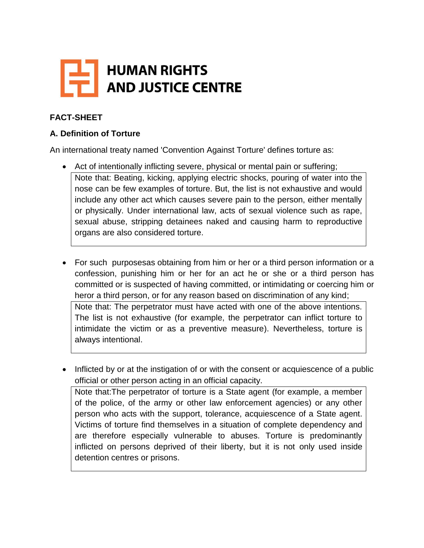

# **FACT-SHEET**

### **A. Definition of Torture**

An international treaty named 'Convention Against Torture' defines torture as:

- Act of intentionally inflicting severe, physical or mental pain or suffering; Note that: Beating, kicking, applying electric shocks, pouring of water into the nose can be few examples of torture. But, the list is not exhaustive and would include any other act which causes severe pain to the person, either mentally or physically. Under international law, acts of sexual violence such as rape, sexual abuse, stripping detainees naked and causing harm to reproductive organs are also considered torture.
- For such purposesas obtaining from him or her or a third person information or a confession, punishing him or her for an act he or she or a third person has committed or is suspected of having committed, or intimidating or coercing him or heror a third person, or for any reason based on discrimination of any kind;

Note that: The perpetrator must have acted with one of the above intentions. The list is not exhaustive (for example, the perpetrator can inflict torture to intimidate the victim or as a preventive measure). Nevertheless, torture is always intentional.

• Inflicted by or at the instigation of or with the consent or acquiescence of a public official or other person acting in an official capacity.

Note that:The perpetrator of torture is a State agent (for example, a member of the police, of the army or other law enforcement agencies) or any other person who acts with the support, tolerance, acquiescence of a State agent. Victims of torture find themselves in a situation of complete dependency and are therefore especially vulnerable to abuses. Torture is predominantly inflicted on persons deprived of their liberty, but it is not only used inside detention centres or prisons.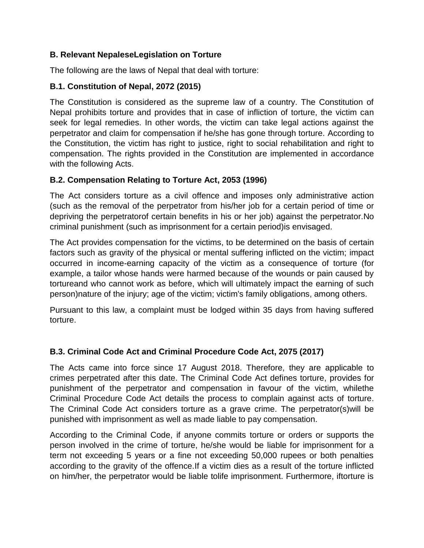### **B. Relevant NepaleseLegislation on Torture**

The following are the laws of Nepal that deal with torture:

## **B.1. Constitution of Nepal, 2072 (2015)**

The Constitution is considered as the supreme law of a country. The Constitution of Nepal prohibits torture and provides that in case of infliction of torture, the victim can seek for legal remedies. In other words, the victim can take legal actions against the perpetrator and claim for compensation if he/she has gone through torture. According to the Constitution, the victim has right to justice, right to social rehabilitation and right to compensation. The rights provided in the Constitution are implemented in accordance with the following Acts.

## **B.2. Compensation Relating to Torture Act, 2053 (1996)**

The Act considers torture as a civil offence and imposes only administrative action (such as the removal of the perpetrator from his/her job for a certain period of time or depriving the perpetratorof certain benefits in his or her job) against the perpetrator.No criminal punishment (such as imprisonment for a certain period)is envisaged.

The Act provides compensation for the victims, to be determined on the basis of certain factors such as gravity of the physical or mental suffering inflicted on the victim; impact occurred in income-earning capacity of the victim as a consequence of torture (for example, a tailor whose hands were harmed because of the wounds or pain caused by tortureand who cannot work as before, which will ultimately impact the earning of such person)nature of the injury; age of the victim; victim's family obligations, among others.

Pursuant to this law, a complaint must be lodged within 35 days from having suffered torture.

# **B.3. Criminal Code Act and Criminal Procedure Code Act, 2075 (2017)**

The Acts came into force since 17 August 2018. Therefore, they are applicable to crimes perpetrated after this date. The Criminal Code Act defines torture, provides for punishment of the perpetrator and compensation in favour of the victim, whilethe Criminal Procedure Code Act details the process to complain against acts of torture. The Criminal Code Act considers torture as a grave crime. The perpetrator(s)will be punished with imprisonment as well as made liable to pay compensation.

According to the Criminal Code, if anyone commits torture or orders or supports the person involved in the crime of torture, he/she would be liable for imprisonment for a term not exceeding 5 years or a fine not exceeding 50,000 rupees or both penalties according to the gravity of the offence.If a victim dies as a result of the torture inflicted on him/her, the perpetrator would be liable tolife imprisonment. Furthermore, iftorture is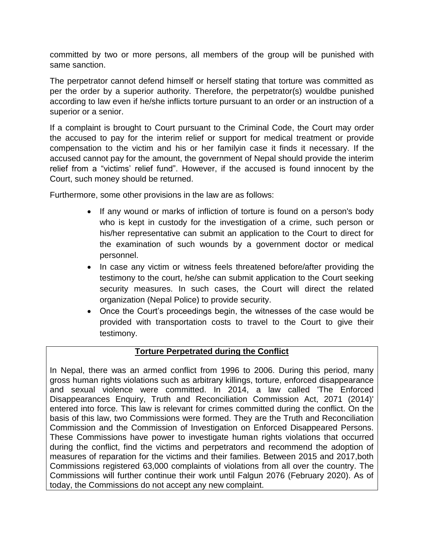committed by two or more persons, all members of the group will be punished with same sanction.

The perpetrator cannot defend himself or herself stating that torture was committed as per the order by a superior authority. Therefore, the perpetrator(s) wouldbe punished according to law even if he/she inflicts torture pursuant to an order or an instruction of a superior or a senior.

If a complaint is brought to Court pursuant to the Criminal Code, the Court may order the accused to pay for the interim relief or support for medical treatment or provide compensation to the victim and his or her familyin case it finds it necessary. If the accused cannot pay for the amount, the government of Nepal should provide the interim relief from a "victims' relief fund". However, if the accused is found innocent by the Court, such money should be returned.

Furthermore, some other provisions in the law are as follows:

- If any wound or marks of infliction of torture is found on a person's body who is kept in custody for the investigation of a crime, such person or his/her representative can submit an application to the Court to direct for the examination of such wounds by a government doctor or medical personnel.
- In case any victim or witness feels threatened before/after providing the testimony to the court, he/she can submit application to the Court seeking security measures. In such cases, the Court will direct the related organization (Nepal Police) to provide security.
- Once the Court's proceedings begin, the witnesses of the case would be provided with transportation costs to travel to the Court to give their testimony.

### **Torture Perpetrated during the Conflict**

In Nepal, there was an armed conflict from 1996 to 2006. During this period, many gross human rights violations such as arbitrary killings, torture, enforced disappearance and sexual violence were committed. In 2014, a law called 'The Enforced Disappearances Enquiry, Truth and Reconciliation Commission Act, 2071 (2014)' entered into force. This law is relevant for crimes committed during the conflict. On the basis of this law, two Commissions were formed. They are the Truth and Reconciliation Commission and the Commission of Investigation on Enforced Disappeared Persons. These Commissions have power to investigate human rights violations that occurred during the conflict, find the victims and perpetrators and recommend the adoption of measures of reparation for the victims and their families. Between 2015 and 2017,both Commissions registered 63,000 complaints of violations from all over the country. The Commissions will further continue their work until Falgun 2076 (February 2020). As of today, the Commissions do not accept any new complaint.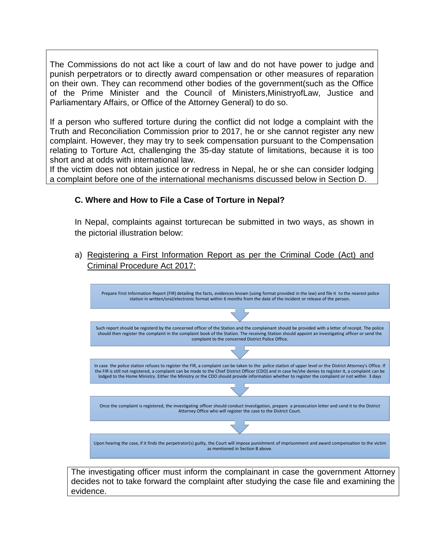The Commissions do not act like a court of law and do not have power to judge and punish perpetrators or to directly award compensation or other measures of reparation on their own. They can recommend other bodies of the government(such as the Office of the Prime Minister and the Council of Ministers,MinistryofLaw, Justice and Parliamentary Affairs, or Office of the Attorney General) to do so.

If a person who suffered torture during the conflict did not lodge a complaint with the Truth and Reconciliation Commission prior to 2017, he or she cannot register any new complaint. However, they may try to seek compensation pursuant to the Compensation relating to Torture Act, challenging the 35-day statute of limitations, because it is too short and at odds with international law.

If the victim does not obtain justice or redress in Nepal, he or she can consider lodging a complaint before one of the international mechanisms discussed below in Section D.

## **C. Where and How to File a Case of Torture in Nepal?**

In Nepal, complaints against torturecan be submitted in two ways, as shown in the pictorial illustration below:

a) Registering a First Information Report as per the Criminal Code (Act) and Criminal Procedure Act 2017:



The investigating officer must inform the complainant in case the government Attorney decides not to take forward the complaint after studying the case file and examining the evidence.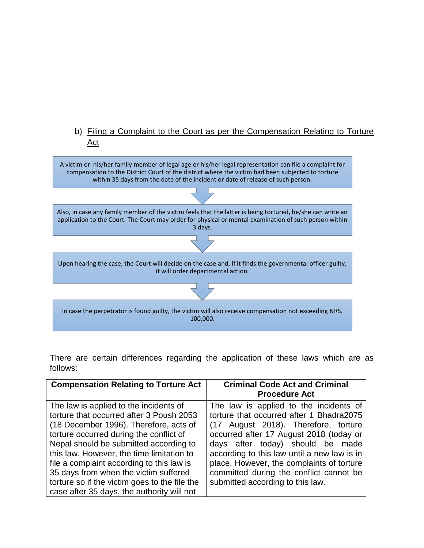### b) Filing a Complaint to the Court as per the Compensation Relating to Torture Act



There are certain differences regarding the application of these laws which are as follows:

| <b>Compensation Relating to Torture Act</b>                                                                                                                                                                                                                                                                                                                                                                                                         | <b>Criminal Code Act and Criminal</b><br><b>Procedure Act</b>                                                                                                                                                                                                                                                                                                                        |
|-----------------------------------------------------------------------------------------------------------------------------------------------------------------------------------------------------------------------------------------------------------------------------------------------------------------------------------------------------------------------------------------------------------------------------------------------------|--------------------------------------------------------------------------------------------------------------------------------------------------------------------------------------------------------------------------------------------------------------------------------------------------------------------------------------------------------------------------------------|
| The law is applied to the incidents of<br>torture that occurred after 3 Poush 2053<br>(18 December 1996). Therefore, acts of<br>torture occurred during the conflict of<br>Nepal should be submitted according to<br>this law. However, the time limitation to<br>file a complaint according to this law is<br>35 days from when the victim suffered<br>torture so if the victim goes to the file the<br>case after 35 days, the authority will not | The law is applied to the incidents of<br>torture that occurred after 1 Bhadra2075<br>(17 August 2018). Therefore, torture<br>occurred after 17 August 2018 (today or<br>days after today) should be made<br>according to this law until a new law is in<br>place. However, the complaints of torture<br>committed during the conflict cannot be<br>submitted according to this law. |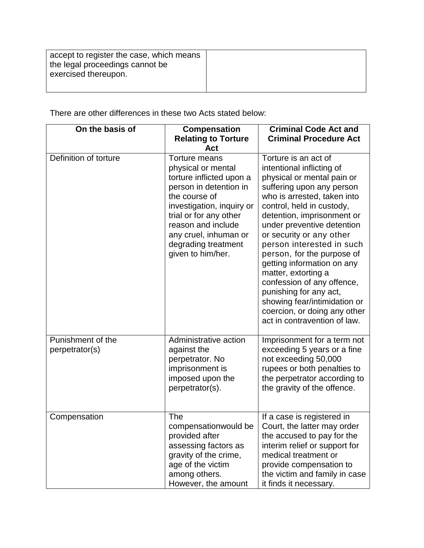| accept to register the case, which means<br>the legal proceedings cannot be<br>exercised thereupon. |  |
|-----------------------------------------------------------------------------------------------------|--|
|                                                                                                     |  |

There are other differences in these two Acts stated below:

| On the basis of                     | <b>Compensation</b><br><b>Relating to Torture</b><br>Act                                                                                                                                                                                                            | <b>Criminal Code Act and</b><br><b>Criminal Procedure Act</b>                                                                                                                                                                                                                                                                                                                                                                                                                                                                            |
|-------------------------------------|---------------------------------------------------------------------------------------------------------------------------------------------------------------------------------------------------------------------------------------------------------------------|------------------------------------------------------------------------------------------------------------------------------------------------------------------------------------------------------------------------------------------------------------------------------------------------------------------------------------------------------------------------------------------------------------------------------------------------------------------------------------------------------------------------------------------|
| Definition of torture               | <b>Torture means</b><br>physical or mental<br>torture inflicted upon a<br>person in detention in<br>the course of<br>investigation, inquiry or<br>trial or for any other<br>reason and include<br>any cruel, inhuman or<br>degrading treatment<br>given to him/her. | Torture is an act of<br>intentional inflicting of<br>physical or mental pain or<br>suffering upon any person<br>who is arrested, taken into<br>control, held in custody,<br>detention, imprisonment or<br>under preventive detention<br>or security or any other<br>person interested in such<br>person, for the purpose of<br>getting information on any<br>matter, extorting a<br>confession of any offence,<br>punishing for any act,<br>showing fear/intimidation or<br>coercion, or doing any other<br>act in contravention of law. |
| Punishment of the<br>perpetrator(s) | Administrative action<br>against the<br>perpetrator. No<br>imprisonment is<br>imposed upon the<br>perpetrator(s).                                                                                                                                                   | Imprisonment for a term not<br>exceeding 5 years or a fine<br>not exceeding 50,000<br>rupees or both penalties to<br>the perpetrator according to<br>the gravity of the offence.                                                                                                                                                                                                                                                                                                                                                         |
| Compensation                        | <b>The</b><br>compensationwould be<br>provided after<br>assessing factors as<br>gravity of the crime,<br>age of the victim<br>among others.<br>However, the amount                                                                                                  | If a case is registered in<br>Court, the latter may order<br>the accused to pay for the<br>interim relief or support for<br>medical treatment or<br>provide compensation to<br>the victim and family in case<br>it finds it necessary.                                                                                                                                                                                                                                                                                                   |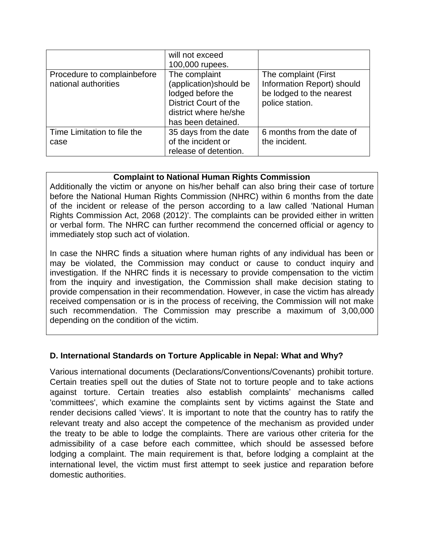|                                                     | will not exceed<br>100,000 rupees.                                                                                                          |                                                                                                   |
|-----------------------------------------------------|---------------------------------------------------------------------------------------------------------------------------------------------|---------------------------------------------------------------------------------------------------|
| Procedure to complainbefore<br>national authorities | The complaint<br>(application)should be<br>lodged before the<br><b>District Court of the</b><br>district where he/she<br>has been detained. | The complaint (First<br>Information Report) should<br>be lodged to the nearest<br>police station. |
| Time Limitation to file the<br>case                 | 35 days from the date<br>of the incident or<br>release of detention.                                                                        | 6 months from the date of<br>the incident.                                                        |

#### **Complaint to National Human Rights Commission**

Additionally the victim or anyone on his/her behalf can also bring their case of torture before the National Human Rights Commission (NHRC) within 6 months from the date of the incident or release of the person according to a law called 'National Human Rights Commission Act, 2068 (2012)'. The complaints can be provided either in written or verbal form. The NHRC can further recommend the concerned official or agency to immediately stop such act of violation.

In case the NHRC finds a situation where human rights of any individual has been or may be violated, the Commission may conduct or cause to conduct inquiry and investigation. If the NHRC finds it is necessary to provide compensation to the victim from the inquiry and investigation, the Commission shall make decision stating to provide compensation in their recommendation. However, in case the victim has already received compensation or is in the process of receiving, the Commission will not make such recommendation. The Commission may prescribe a maximum of 3,00,000 depending on the condition of the victim.

### **D. International Standards on Torture Applicable in Nepal: What and Why?**

Various international documents (Declarations/Conventions/Covenants) prohibit torture. Certain treaties spell out the duties of State not to torture people and to take actions against torture. Certain treaties also establish complaints' mechanisms called 'committees', which examine the complaints sent by victims against the State and render decisions called 'views'. It is important to note that the country has to ratify the relevant treaty and also accept the competence of the mechanism as provided under the treaty to be able to lodge the complaints. There are various other criteria for the admissibility of a case before each committee, which should be assessed before lodging a complaint. The main requirement is that, before lodging a complaint at the international level, the victim must first attempt to seek justice and reparation before domestic authorities.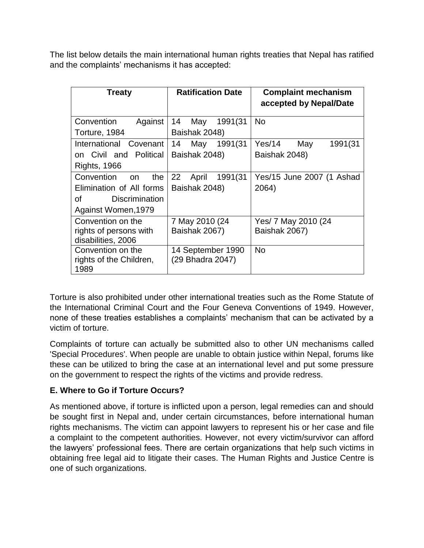The list below details the main international human rights treaties that Nepal has ratified and the complaints' mechanisms it has accepted:

| <b>Treaty</b>                   | <b>Ratification Date</b> | <b>Complaint mechanism</b><br>accepted by Nepal/Date |
|---------------------------------|--------------------------|------------------------------------------------------|
| Convention<br>Against           | 14<br>1991(31<br>May     | No.                                                  |
| Torture, 1984                   | Baishak 2048)            |                                                      |
| International Covenant          | 14<br>May<br>1991(31     | Yes/14<br>1991(31<br>May                             |
| on Civil and Political          | Baishak 2048)            | Baishak 2048)                                        |
| <b>Rights, 1966</b>             |                          |                                                      |
| Convention<br>the<br>on         | 22<br>1991(31<br>April   | Yes/15 June 2007 (1 Ashad                            |
| Elimination of All forms        | Baishak 2048)            | 2064)                                                |
| Οf<br><b>Discrimination</b>     |                          |                                                      |
| Against Women, 1979             |                          |                                                      |
| Convention on the               | 7 May 2010 (24           | Yes/ 7 May 2010 (24                                  |
| rights of persons with          | Baishak 2067)            | Baishak 2067)                                        |
| disabilities, 2006              |                          |                                                      |
| Convention on the               | 14 September 1990        | <b>No</b>                                            |
| rights of the Children,<br>1989 | (29 Bhadra 2047)         |                                                      |

Torture is also prohibited under other international treaties such as the Rome Statute of the International Criminal Court and the Four Geneva Conventions of 1949. However, none of these treaties establishes a complaints' mechanism that can be activated by a victim of torture.

Complaints of torture can actually be submitted also to other UN mechanisms called 'Special Procedures'. When people are unable to obtain justice within Nepal, forums like these can be utilized to bring the case at an international level and put some pressure on the government to respect the rights of the victims and provide redress.

### **E. Where to Go if Torture Occurs?**

As mentioned above, if torture is inflicted upon a person, legal remedies can and should be sought first in Nepal and, under certain circumstances, before international human rights mechanisms. The victim can appoint lawyers to represent his or her case and file a complaint to the competent authorities. However, not every victim/survivor can afford the lawyers' professional fees. There are certain organizations that help such victims in obtaining free legal aid to litigate their cases. The Human Rights and Justice Centre is one of such organizations.